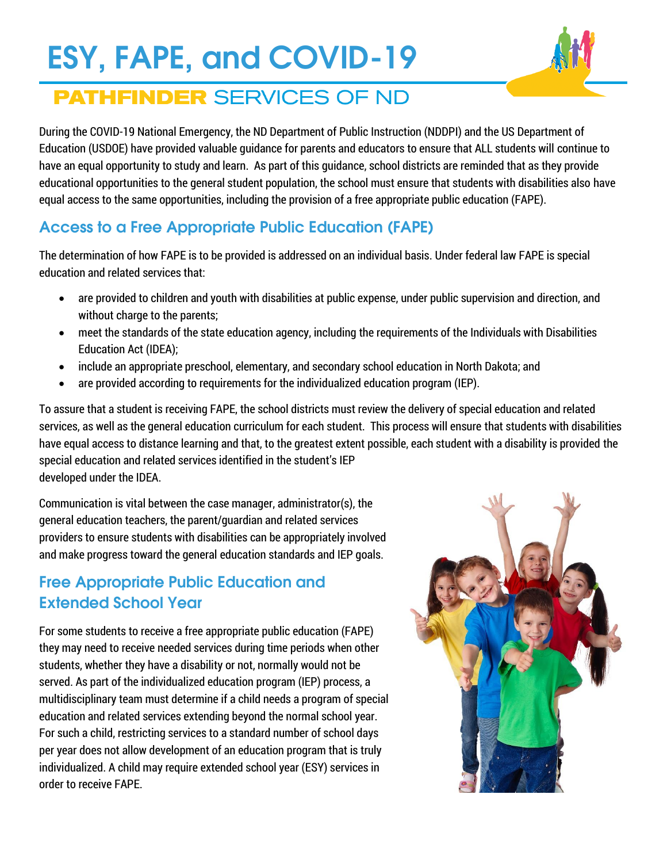# **ESY, FAPE, and COVID-19**



## **PATHFINDER SERVICES OF ND**

During the COVID-19 National Emergency, the ND Department of Public Instruction (NDDPI) and the US Department of Education (USDOE) have provided valuable guidance for parents and educators to ensure that ALL students will continue to have an equal opportunity to study and learn. As part of this guidance, school districts are reminded that as they provide educational opportunities to the general student population, the school must ensure that students with disabilities also have equal access to the same opportunities, including the provision of a free appropriate public education (FAPE).

## **Access to a Free Appropriate Public Education (FAPE)**

The determination of how FAPE is to be provided is addressed on an individual basis. Under federal law FAPE is special education and related services that:

- are provided to children and youth with disabilities at public expense, under public supervision and direction, and without charge to the parents;
- meet the standards of the state education agency, including the requirements of the Individuals with Disabilities Education Act (IDEA);
- include an appropriate preschool, elementary, and secondary school education in North Dakota; and
- are provided according to requirements for the individualized education program (IEP).

To assure that a student is receiving FAPE, the school districts must review the delivery of special education and related services, as well as the general education curriculum for each student. This process will ensure that students with disabilities have equal access to distance learning and that, to the greatest extent possible, each student with a disability is provided the special education and related services identified in the student's IEP developed under the IDEA.

Communication is vital between the case manager, administrator(s), the general education teachers, the parent/guardian and related services providers to ensure students with disabilities can be appropriately involved and make progress toward the general education standards and IEP goals.

## **Free Appropriate Public Education and Extended School Year**

For some students to receive a free appropriate public education (FAPE) they may need to receive needed services during time periods when other students, whether they have a disability or not, normally would not be served. As part of the individualized education program (IEP) process, a multidisciplinary team must determine if a child needs a program of special education and related services extending beyond the normal school year. For such a child, restricting services to a standard number of school days per year does not allow development of an education program that is truly individualized. A child may require extended school year (ESY) services in order to receive FAPE.

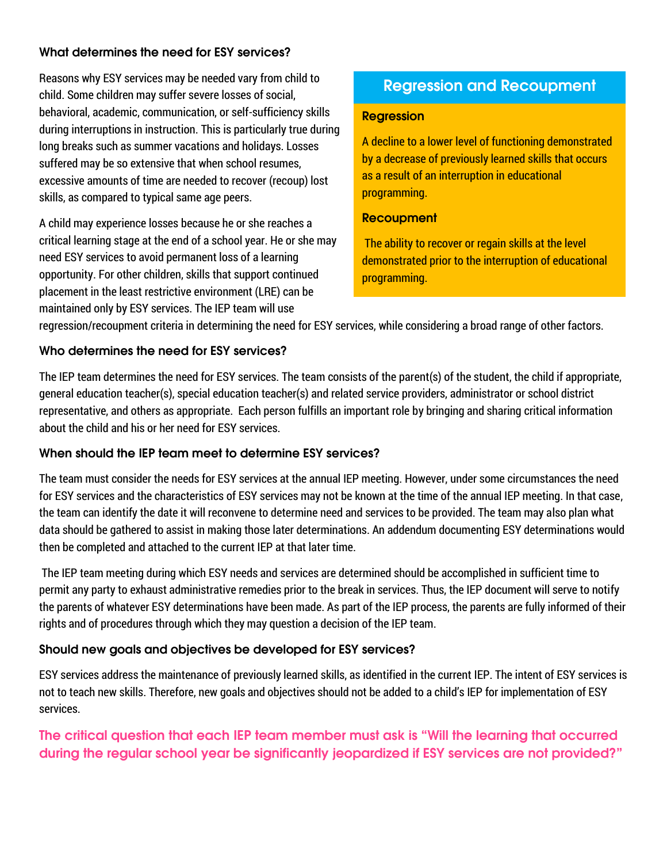#### **What determines the need for ESY services?**

Reasons why ESY services may be needed vary from child to child. Some children may suffer severe losses of social, behavioral, academic, communication, or self-sufficiency skills during interruptions in instruction. This is particularly true during long breaks such as summer vacations and holidays. Losses suffered may be so extensive that when school resumes, excessive amounts of time are needed to recover (recoup) lost skills, as compared to typical same age peers.

A child may experience losses because he or she reaches a critical learning stage at the end of a school year. He or she may need ESY services to avoid permanent loss of a learning opportunity. For other children, skills that support continued placement in the least restrictive environment (LRE) can be maintained only by ESY services. The IEP team will use

## **Regression and Recoupment**

#### **Regression Regression**

A decline to a lower level of functioning demonstrated A decline to a lower level of functioning demonstrated by a decrease of previously learned skills that occurs by a decrease of previously learned skills that occurs as a result of an interruption in educational as a result of an interruption in educational programming. programming.

#### **Recoupment Recoupment**

The ability to recover or regain skills at the level The ability to recover or regain skills at the level demonstrated prior to the interruption of educational demonstrated prior to the interruption of educational programming. programming.

regression/recoupment criteria in determining the need for ESY services, while considering a broad range of other factors.

#### **Who determines the need for ESY services?**

The IEP team determines the need for ESY services. The team consists of the parent(s) of the student, the child if appropriate, general education teacher(s), special education teacher(s) and related service providers, administrator or school district representative, and others as appropriate. Each person fulfills an important role by bringing and sharing critical information about the child and his or her need for ESY services.

#### **When should the IEP team meet to determine ESY services?**

The team must consider the needs for ESY services at the annual IEP meeting. However, under some circumstances the need for ESY services and the characteristics of ESY services may not be known at the time of the annual IEP meeting. In that case, the team can identify the date it will reconvene to determine need and services to be provided. The team may also plan what data should be gathered to assist in making those later determinations. An addendum documenting ESY determinations would then be completed and attached to the current IEP at that later time.

The IEP team meeting during which ESY needs and services are determined should be accomplished in sufficient time to permit any party to exhaust administrative remedies prior to the break in services. Thus, the IEP document will serve to notify the parents of whatever ESY determinations have been made. As part of the IEP process, the parents are fully informed of their rights and of procedures through which they may question a decision of the IEP team.

#### **Should new goals and objectives be developed for ESY services?**

ESY services address the maintenance of previously learned skills, as identified in the current IEP. The intent of ESY services is not to teach new skills. Therefore, new goals and objectives should not be added to a child's IEP for implementation of ESY services.

**The critical question that each IEP team member must ask is "Will the learning that occurred during the regular school year be significantly jeopardized if ESY services are not provided?"**